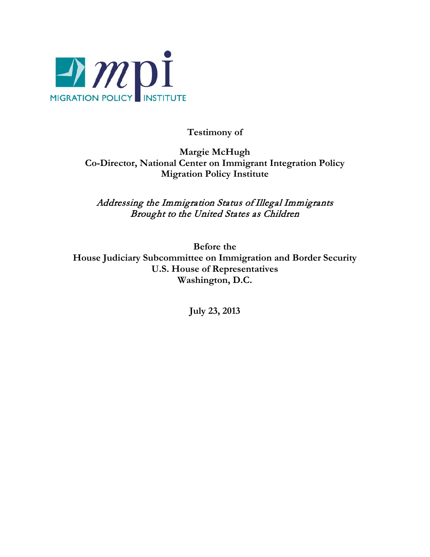

**Testimony of**

**Margie McHugh Co-Director, National Center on Immigrant Integration Policy Migration Policy Institute**

Addressing the Immigration Status of Illegal Immigrants Brought to the United States as Children

**Before the House Judiciary Subcommittee on Immigration and Border Security U.S. House of Representatives Washington, D.C.**

**July 23, 2013**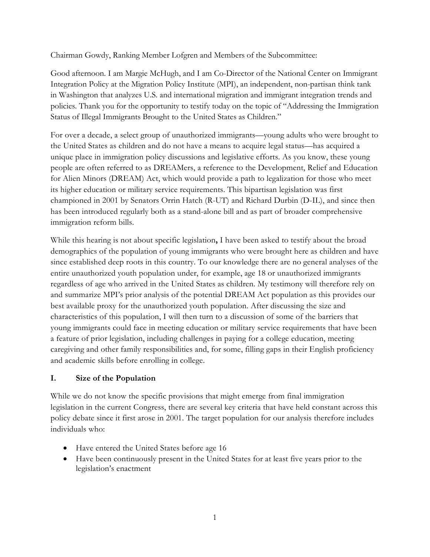Chairman Gowdy, Ranking Member Lofgren and Members of the Subcommittee:

Good afternoon. I am Margie McHugh, and I am Co-Director of the National Center on Immigrant Integration Policy at the Migration Policy Institute (MPI), an independent, non-partisan think tank in Washington that analyzes U.S. and international migration and immigrant integration trends and policies. Thank you for the opportunity to testify today on the topic of "Addressing the Immigration Status of Illegal Immigrants Brought to the United States as Children."

For over a decade, a select group of unauthorized immigrants—young adults who were brought to the United States as children and do not have a means to acquire legal status—has acquired a unique place in immigration policy discussions and legislative efforts. As you know, these young people are often referred to as DREAMers, a reference to the Development, Relief and Education for Alien Minors (DREAM) Act, which would provide a path to legalization for those who meet its higher education or military service requirements. This bipartisan legislation was first championed in 2001 by Senators Orrin Hatch (R-UT) and Richard Durbin (D-IL), and since then has been introduced regularly both as a stand-alone bill and as part of broader comprehensive immigration reform bills.

While this hearing is not about specific legislation**,** I have been asked to testify about the broad demographics of the population of young immigrants who were brought here as children and have since established deep roots in this country. To our knowledge there are no general analyses of the entire unauthorized youth population under, for example, age 18 or unauthorized immigrants regardless of age who arrived in the United States as children. My testimony will therefore rely on and summarize MPI's prior analysis of the potential DREAM Act population as this provides our best available proxy for the unauthorized youth population. After discussing the size and characteristics of this population, I will then turn to a discussion of some of the barriers that young immigrants could face in meeting education or military service requirements that have been a feature of prior legislation, including challenges in paying for a college education, meeting caregiving and other family responsibilities and, for some, filling gaps in their English proficiency and academic skills before enrolling in college.

# **I. Size of the Population**

While we do not know the specific provisions that might emerge from final immigration legislation in the current Congress, there are several key criteria that have held constant across this policy debate since it first arose in 2001. The target population for our analysis therefore includes individuals who:

- Have entered the United States before age 16
- Have been continuously present in the United States for at least five years prior to the legislation's enactment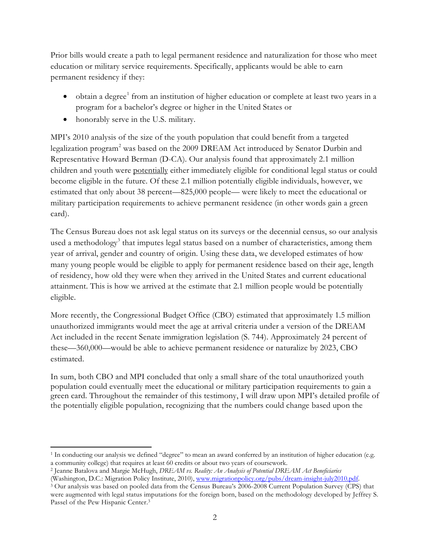Prior bills would create a path to legal permanent residence and naturalization for those who meet education or military service requirements. Specifically, applicants would be able to earn permanent residency if they:

- obtain a degree<sup>[1](#page-2-0)</sup> from an institution of higher education or complete at least two years in a program for a bachelor's degree or higher in the United States or
- honorably serve in the U.S. military.

MPI's 2010 analysis of the size of the youth population that could benefit from a targeted legalization program<sup>[2](#page-2-1)</sup> was based on the 2009 DREAM Act introduced by Senator Durbin and Representative Howard Berman (D-CA). Our analysis found that approximately 2.1 million children and youth were potentially either immediately eligible for conditional legal status or could become eligible in the future. Of these 2.1 million potentially eligible individuals, however, we estimated that only about 38 percent—825,000 people— were likely to meet the educational or military participation requirements to achieve permanent residence (in other words gain a green card).

The Census Bureau does not ask legal status on its surveys or the decennial census, so our analysis used a methodology<sup>[3](#page-2-2)</sup> that imputes legal status based on a number of characteristics, among them year of arrival, gender and country of origin. Using these data, we developed estimates of how many young people would be eligible to apply for permanent residence based on their age, length of residency, how old they were when they arrived in the United States and current educational attainment. This is how we arrived at the estimate that 2.1 million people would be potentially eligible.

More recently, the Congressional Budget Office (CBO) estimated that approximately 1.5 million unauthorized immigrants would meet the age at arrival criteria under a version of the DREAM Act included in the recent Senate immigration legislation (S. 744). Approximately 24 percent of these—360,000—would be able to achieve permanent residence or naturalize by 2023, CBO estimated.

In sum, both CBO and MPI concluded that only a small share of the total unauthorized youth population could eventually meet the educational or military participation requirements to gain a green card. Throughout the remainder of this testimony, I will draw upon MPI's detailed profile of the potentially eligible population, recognizing that the numbers could change based upon the

<span id="page-2-0"></span><sup>1</sup> In conducting our analysis we defined "degree" to mean an award conferred by an institution of higher education (e.g. a community college) that requires at least 60 credits or about two years of coursework.  $\overline{\phantom{a}}$ 

<span id="page-2-1"></span><sup>&</sup>lt;sup>2</sup> Jeanne Batalova and Margie McHugh, *DREAM vs. Reality: An Analysis of Potential DREAM Act Beneficiaries* (Washington, D.C.: Migration Policy Institute, 2010), www.migrationpolicy.org/pubs/dream-insight-july2010.pdf.

<span id="page-2-2"></span> $\frac{3}{2}$  Our analysis was based on pooled data from the Census Bureau's 2006-2008 Current Population Survey (CPS) that were augmented with legal status imputations for the foreign born, based on the methodology developed by Jeffrey S. Passel of the Pew Hispanic Center.3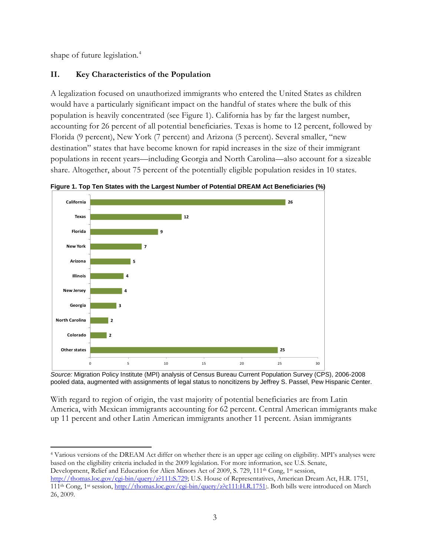shape of future legislation. [4](#page-3-0)

# **II. Key Characteristics of the Population**

A legalization focused on unauthorized immigrants who entered the United States as children would have a particularly significant impact on the handful of states where the bulk of this population is heavily concentrated (see Figure 1). California has by far the largest number, accounting for 26 percent of all potential beneficiaries. Texas is home to 12 percent, followed by Florida (9 percent), New York (7 percent) and Arizona (5 percent). Several smaller, "new destination" states that have become known for rapid increases in the size of their immigrant populations in recent years—including Georgia and North Carolina—also account for a sizeable share. Altogether, about 75 percent of the potentially eligible population resides in 10 states.

**Figure 1. Top Ten States with the Largest Number of Potential DREAM Act Beneficiaries (%)**



*Source:* Migration Policy Institute (MPI) analysis of Census Bureau Current Population Survey (CPS), 2006-2008 pooled data, augmented with assignments of legal status to noncitizens by Jeffrey S. Passel, Pew Hispanic Center.

With regard to region of origin, the vast majority of potential beneficiaries are from Latin America, with Mexican immigrants accounting for 62 percent. Central American immigrants make up 11 percent and other Latin American immigrants another 11 percent. Asian immigrants

<span id="page-3-0"></span><sup>4</sup> Various versions of the DREAM Act differ on whether there is an upper age ceiling on eligibility. MPI's analyses were based on the eligibility criteria included in the 2009 legislation. For more information, see U.S. Senate, Development, Relief and Education for Alien Minors Act of 2009, S. 729, 111<sup>th</sup> Cong, 1<sup>st</sup> session, [http://thomas.loc.gov/cgi-bin/query/z?111:S.729;](http://thomas.loc.gov/cgi-bin/query/z?111:S.729) U.S. House of Representatives, American Dream Act, H.R. 1751, 111th Cong, 1st session, [http://thomas.loc.gov/cgi-bin/query/z?c111:H.R.1751:.](http://thomas.loc.gov/cgi-bin/query/z?c111:H.R.1751) Both bills were introduced on March 26, 2009.  $\overline{\phantom{a}}$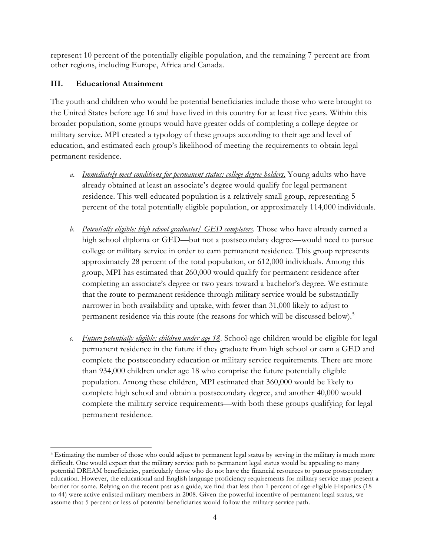represent 10 percent of the potentially eligible population, and the remaining 7 percent are from other regions, including Europe, Africa and Canada.

# **III. Educational Attainment**

The youth and children who would be potential beneficiaries include those who were brought to the United States before age 16 and have lived in this country for at least five years. Within this broader population, some groups would have greater odds of completing a college degree or military service. MPI created a typology of these groups according to their age and level of education, and estimated each group's likelihood of meeting the requirements to obtain legal permanent residence.

- *a. Immediately meet conditions for permanent status: college degree holders*. Young adults who have already obtained at least an associate's degree would qualify for legal permanent residence. This well-educated population is a relatively small group, representing 5 percent of the total potentially eligible population, or approximately 114,000 individuals.
- *b. Potentially eligible: high school graduates/ GED completers.* Those who have already earned a high school diploma or GED—but not a postsecondary degree—would need to pursue college or military service in order to earn permanent residence. This group represents approximately 28 percent of the total population, or 612,000 individuals. Among this group, MPI has estimated that 260,000 would qualify for permanent residence after completing an associate's degree or two years toward a bachelor's degree. We estimate that the route to permanent residence through military service would be substantially narrower in both availability and uptake, with fewer than 31,000 likely to adjust to permanent residence via this route (the reasons for which will be discussed below). [5](#page-4-0)
- *c. Future potentially eligible: children under age 18*. School-age children would be eligible for legal permanent residence in the future if they graduate from high school or earn a GED and complete the postsecondary education or military service requirements. There are more than 934,000 children under age 18 who comprise the future potentially eligible population. Among these children, MPI estimated that 360,000 would be likely to complete high school and obtain a postsecondary degree, and another 40,000 would complete the military service requirements—with both these groups qualifying for legal permanent residence.

<span id="page-4-0"></span><sup>5</sup> Estimating the number of those who could adjust to permanent legal status by serving in the military is much more difficult. One would expect that the military service path to permanent legal status would be appealing to many potential DREAM beneficiaries, particularly those who do not have the financial resources to pursue postsecondary education. However, the educational and English language proficiency requirements for military service may present a barrier for some. Relying on the recent past as a guide, we find that less than 1 percent of age-eligible Hispanics (18 to 44) were active enlisted military members in 2008. Given the powerful incentive of permanent legal status, we assume that 5 percent or less of potential beneficiaries would follow the military service path.  $\overline{\phantom{a}}$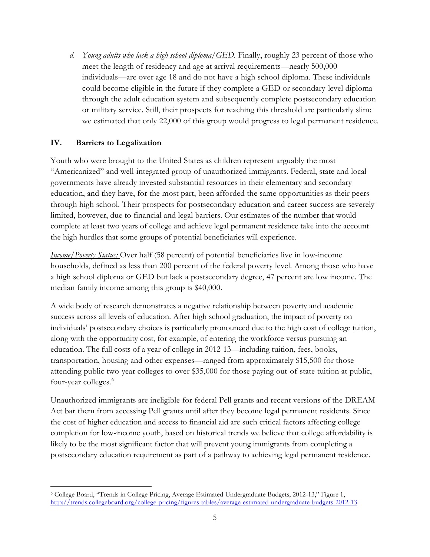*d. Young adults who lack a high school diploma/GED.* Finally, roughly 23 percent of those who meet the length of residency and age at arrival requirements—nearly 500,000 individuals—are over age 18 and do not have a high school diploma. These individuals could become eligible in the future if they complete a GED or secondary-level diploma through the adult education system and subsequently complete postsecondary education or military service. Still, their prospects for reaching this threshold are particularly slim: we estimated that only 22,000 of this group would progress to legal permanent residence.

# **IV. Barriers to Legalization**

Youth who were brought to the United States as children represent arguably the most "Americanized" and well-integrated group of unauthorized immigrants. Federal, state and local governments have already invested substantial resources in their elementary and secondary education, and they have, for the most part, been afforded the same opportunities as their peers through high school. Their prospects for postsecondary education and career success are severely limited, however, due to financial and legal barriers. Our estimates of the number that would complete at least two years of college and achieve legal permanent residence take into the account the high hurdles that some groups of potential beneficiaries will experience.

*Income/Poverty Status:* Over half (58 percent) of potential beneficiaries live in low-income households, defined as less than 200 percent of the federal poverty level. Among those who have a high school diploma or GED but lack a postsecondary degree, 47 percent are low income. The median family income among this group is \$40,000.

A wide body of research demonstrates a negative relationship between poverty and academic success across all levels of education. After high school graduation, the impact of poverty on individuals' postsecondary choices is particularly pronounced due to the high cost of college tuition, along with the opportunity cost, for example, of entering the workforce versus pursuing an education. The full costs of a year of college in 2012-13—including tuition, fees, books, transportation, housing and other expenses—ranged from approximately \$15,500 for those attending public two-year colleges to over \$35,000 for those paying out-of-state tuition at public, four-year colleges.<sup>[6](#page-5-0)</sup>

Unauthorized immigrants are ineligible for federal Pell grants and recent versions of the DREAM Act bar them from accessing Pell grants until after they become legal permanent residents. Since the cost of higher education and access to financial aid are such critical factors affecting college completion for low-income youth, based on historical trends we believe that college affordability is likely to be the most significant factor that will prevent young immigrants from completing a postsecondary education requirement as part of a pathway to achieving legal permanent residence.

<span id="page-5-0"></span><sup>6</sup> College Board, "Trends in College Pricing, Average Estimated Undergraduate Budgets, 2012-13," Figure 1, [http://trends.collegeboard.org/college-pricing/figures-tables/average-estimated-undergraduate-budgets-2012-13.](http://trends.collegeboard.org/college-pricing/figures-tables/average-estimated-undergraduate-budgets-2012-13)   $\overline{\phantom{a}}$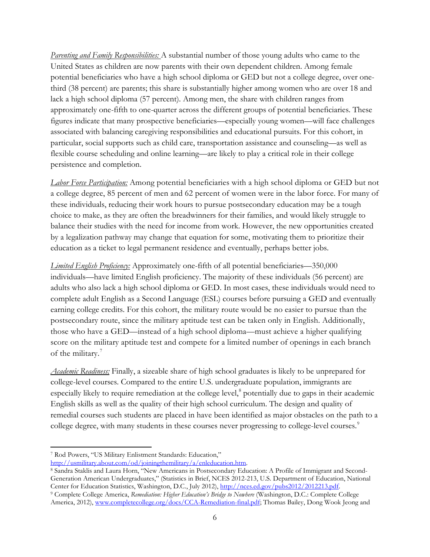*Parenting and Family Responsibilities:* A substantial number of those young adults who came to the United States as children are now parents with their own dependent children. Among female potential beneficiaries who have a high school diploma or GED but not a college degree, over onethird (38 percent) are parents; this share is substantially higher among women who are over 18 and lack a high school diploma (57 percent). Among men, the share with children ranges from approximately one-fifth to one-quarter across the different groups of potential beneficiaries. These figures indicate that many prospective beneficiaries—especially young women—will face challenges associated with balancing caregiving responsibilities and educational pursuits. For this cohort, in particular, social supports such as child care, transportation assistance and counseling—as well as flexible course scheduling and online learning—are likely to play a critical role in their college persistence and completion.

*Labor Force Participation:* Among potential beneficiaries with a high school diploma or GED but not a college degree, 85 percent of men and 62 percent of women were in the labor force. For many of these individuals, reducing their work hours to pursue postsecondary education may be a tough choice to make, as they are often the breadwinners for their families, and would likely struggle to balance their studies with the need for income from work. However, the new opportunities created by a legalization pathway may change that equation for some, motivating them to prioritize their education as a ticket to legal permanent residence and eventually, perhaps better jobs.

*Limited English Proficiency:* Approximately one-fifth of all potential beneficiaries—350,000 individuals—have limited English proficiency. The majority of these individuals (56 percent) are adults who also lack a high school diploma or GED. In most cases, these individuals would need to complete adult English as a Second Language (ESL) courses before pursuing a GED and eventually earning college credits. For this cohort, the military route would be no easier to pursue than the postsecondary route, since the military aptitude test can be taken only in English. Additionally, those who have a GED—instead of a high school diploma—must achieve a higher qualifying score on the military aptitude test and compete for a limited number of openings in each branch of the military.<sup>[7](#page-6-0)</sup>

*Academic Readiness:* Finally, a sizeable share of high school graduates is likely to be unprepared for college-level courses. Compared to the entire U.S. undergraduate population, immigrants are especially likely to require remediation at the college level, $\delta$  potentially due to gaps in their academic English skills as well as the quality of their high school curriculum. The design and quality of remedial courses such students are placed in have been identified as major obstacles on the path to a college degree, with many students in these courses never progressing to college-level courses.<sup>[9](#page-6-2)</sup>

<span id="page-6-2"></span><sup>9</sup> Complete College America, Remediation: Higher Education's Bridge to Nowhere (Washington, D.C.: Complete College America, 2012), [www.completecollege.org/docs/CCA-Remediation-final.pdf;](http://www.completecollege.org/docs/CCA-Remediation-final.pdf) Thomas Bailey, Dong Wook Jeong and

<sup>7</sup> Rod Powers, "US Military Enlistment Standards: Education,"  $\overline{\phantom{a}}$ 

<span id="page-6-0"></span>[http://usmilitary.about.com/od/joiningthemilitary/a/enleducation.htm.](http://usmilitary.about.com/od/joiningthemilitary/a/enleducation.htm)

<span id="page-6-1"></span><sup>8</sup> Sandra Staklis and Laura Horn, "New Americans in Postsecondary Education: A Profile of Immigrant and Second-Generation American Undergraduates," (Statistics in Brief, NCES 2012-213, U.S. Department of Education, National Center for Education Statistics, Washington, D.C., July 2012), http://nces.ed.gov/pubs2012/2012213.pdf.